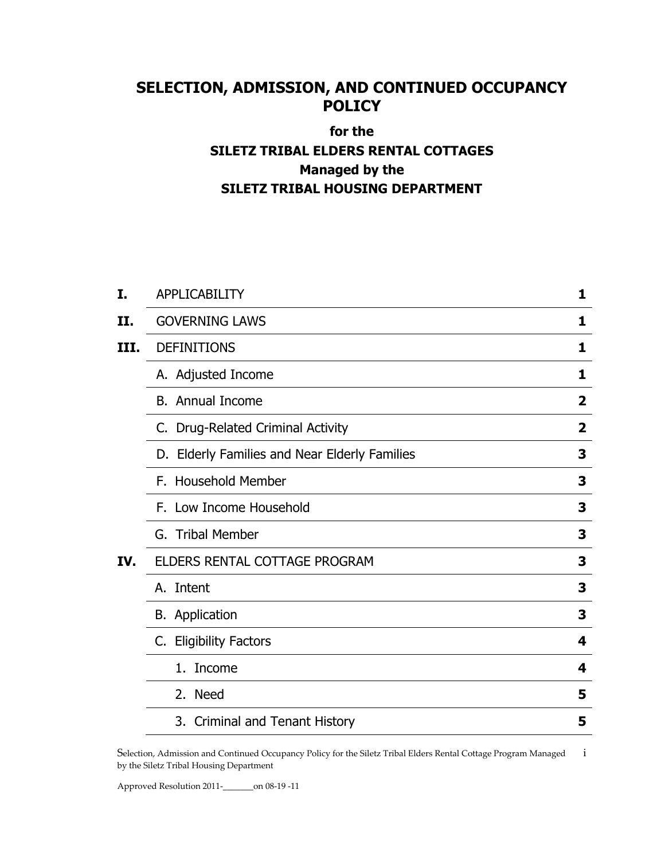# **SELECTION, ADMISSION, AND CONTINUED OCCUPANCY POLICY**

# **for the SILETZ TRIBAL ELDERS RENTAL COTTAGES Managed by the SILETZ TRIBAL HOUSING DEPARTMENT**

| I.   | <b>APPLICABILITY</b>                          | 1            |
|------|-----------------------------------------------|--------------|
| II.  | <b>GOVERNING LAWS</b>                         | 1            |
| III. | <b>DEFINITIONS</b>                            | 1            |
|      | A. Adjusted Income                            | 1            |
|      | <b>B.</b> Annual Income                       | $\mathbf{2}$ |
|      | C. Drug-Related Criminal Activity             | 2            |
|      | D. Elderly Families and Near Elderly Families | 3            |
|      | F. Household Member                           | 3            |
|      | F. Low Income Household                       | 3            |
|      | G. Tribal Member                              | 3            |
| IV.  | ELDERS RENTAL COTTAGE PROGRAM                 | 3            |
|      | A. Intent                                     | 3            |
|      | <b>B.</b> Application                         | 3            |
|      | C. Eligibility Factors                        | 4            |
|      | 1.<br>Income                                  | 4            |
|      | 2. Need                                       | 5            |
|      | 3. Criminal and Tenant History                | 5            |

Selection, Admission and Continued Occupancy Policy for the Siletz Tribal Elders Rental Cottage Program Managed i by the Siletz Tribal Housing Department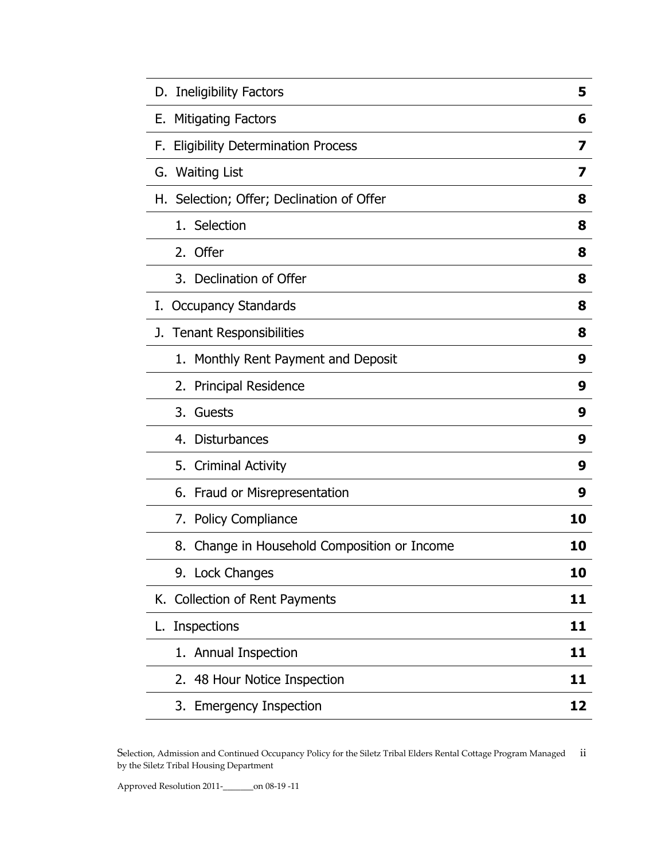| D. Ineligibility Factors                        | 5  |
|-------------------------------------------------|----|
| <b>Mitigating Factors</b><br>Е.                 | 6  |
| <b>Eligibility Determination Process</b><br>F.  | 7  |
| <b>Waiting List</b><br>G.                       | 7  |
| H. Selection; Offer; Declination of Offer       | 8  |
| 1. Selection                                    | 8  |
| 2. Offer                                        | 8  |
| 3. Declination of Offer                         | 8  |
| <b>Occupancy Standards</b><br>I.                | 8  |
| <b>Tenant Responsibilities</b><br>J.            | 8  |
| 1. Monthly Rent Payment and Deposit             | 9  |
| 2. Principal Residence                          | 9  |
| 3.<br>Guests                                    | 9  |
| 4. Disturbances                                 | 9  |
| 5.<br><b>Criminal Activity</b>                  | 9  |
| 6. Fraud or Misrepresentation                   | 9  |
| 7. Policy Compliance                            | 10 |
| Change in Household Composition or Income<br>8. | 10 |
| 9. Lock Changes                                 | 10 |
| K. Collection of Rent Payments                  | 11 |
| <b>Inspections</b><br>L.                        | 11 |
| 1. Annual Inspection                            | 11 |
| 2. 48 Hour Notice Inspection                    | 11 |
| 3. Emergency Inspection                         | 12 |

Selection, Admission and Continued Occupancy Policy for the Siletz Tribal Elders Rental Cottage Program Managed ii by the Siletz Tribal Housing Department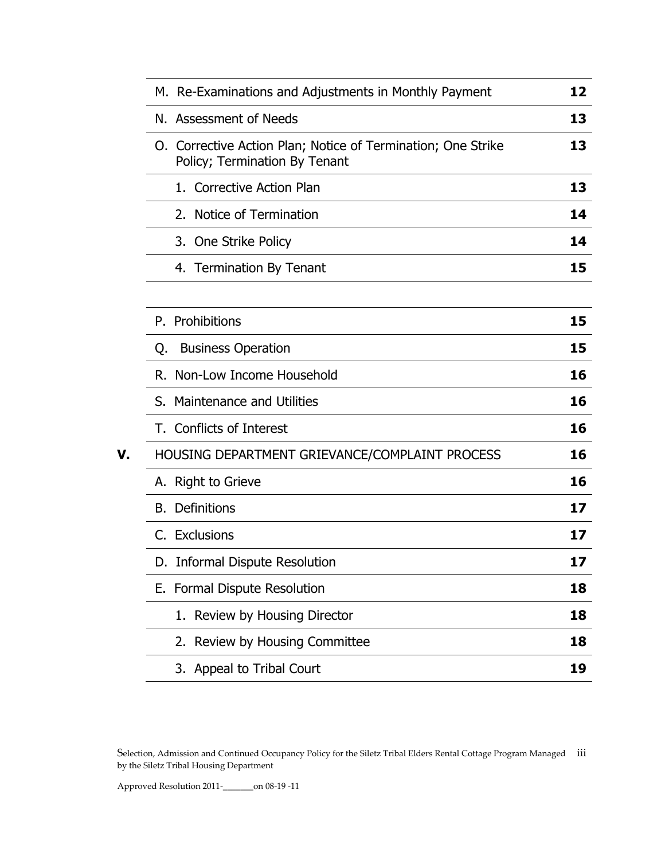|    | M. Re-Examinations and Adjustments in Monthly Payment                                         | 12 |
|----|-----------------------------------------------------------------------------------------------|----|
|    | N. Assessment of Needs                                                                        | 13 |
|    | O. Corrective Action Plan; Notice of Termination; One Strike<br>Policy; Termination By Tenant | 13 |
|    | 1. Corrective Action Plan                                                                     | 13 |
|    | 2. Notice of Termination                                                                      | 14 |
|    | 3. One Strike Policy                                                                          | 14 |
|    | 4. Termination By Tenant                                                                      | 15 |
|    |                                                                                               |    |
|    | P. Prohibitions                                                                               | 15 |
|    | <b>Business Operation</b><br>Q.                                                               | 15 |
|    | R. Non-Low Income Household                                                                   | 16 |
|    | S. Maintenance and Utilities                                                                  | 16 |
|    | T. Conflicts of Interest                                                                      | 16 |
| V. | HOUSING DEPARTMENT GRIEVANCE/COMPLAINT PROCESS                                                | 16 |
|    | A. Right to Grieve                                                                            | 16 |
|    | <b>B.</b> Definitions                                                                         | 17 |
|    | C. Exclusions                                                                                 | 17 |
|    | D. Informal Dispute Resolution                                                                | 17 |
|    | E. Formal Dispute Resolution                                                                  | 18 |
|    | 1. Review by Housing Director                                                                 | 18 |
|    | 2. Review by Housing Committee                                                                | 18 |
|    | 3. Appeal to Tribal Court                                                                     | 19 |

Selection, Admission and Continued Occupancy Policy for the Siletz Tribal Elders Rental Cottage Program Managed iii by the Siletz Tribal Housing Department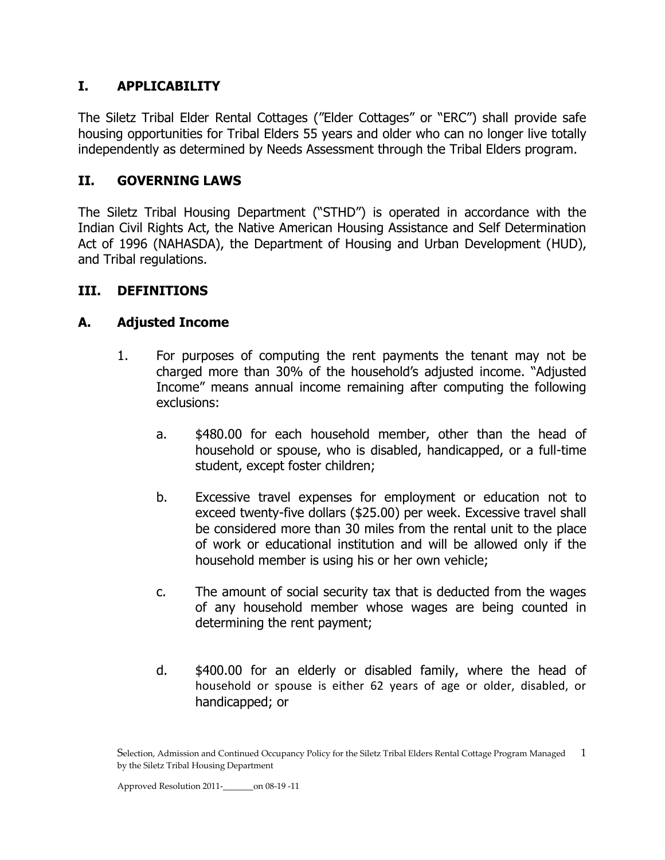# **I. APPLICABILITY**

The Siletz Tribal Elder Rental Cottages ("Elder Cottages" or "ERC") shall provide safe housing opportunities for Tribal Elders 55 years and older who can no longer live totally independently as determined by Needs Assessment through the Tribal Elders program.

# **II. GOVERNING LAWS**

The Siletz Tribal Housing Department ("STHD") is operated in accordance with the Indian Civil Rights Act, the Native American Housing Assistance and Self Determination Act of 1996 (NAHASDA), the Department of Housing and Urban Development (HUD), and Tribal regulations.

# **III. DEFINITIONS**

# **A. Adjusted Income**

- 1. For purposes of computing the rent payments the tenant may not be charged more than 30% of the household's adjusted income. "Adjusted Income" means annual income remaining after computing the following exclusions:
	- a. \$480.00 for each household member, other than the head of household or spouse, who is disabled, handicapped, or a full-time student, except foster children;
	- b. Excessive travel expenses for employment or education not to exceed twenty-five dollars (\$25.00) per week. Excessive travel shall be considered more than 30 miles from the rental unit to the place of work or educational institution and will be allowed only if the household member is using his or her own vehicle;
	- c. The amount of social security tax that is deducted from the wages of any household member whose wages are being counted in determining the rent payment;
	- d. \$400.00 for an elderly or disabled family, where the head of household or spouse is either 62 years of age or older, disabled, or handicapped; or

Selection, Admission and Continued Occupancy Policy for the Siletz Tribal Elders Rental Cottage Program Managed 1 by the Siletz Tribal Housing Department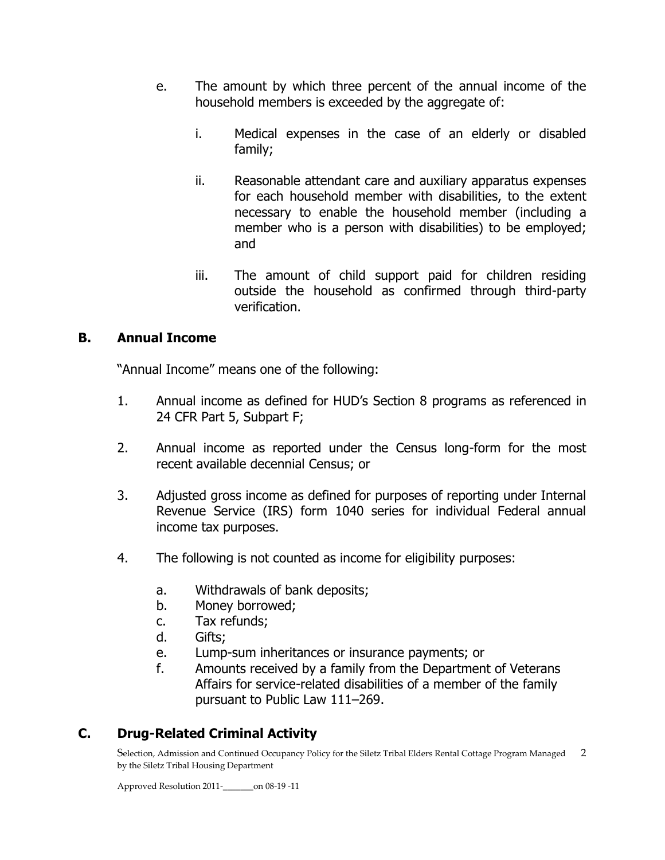- e. The amount by which three percent of the annual income of the household members is exceeded by the aggregate of:
	- i. Medical expenses in the case of an elderly or disabled family;
	- ii. Reasonable attendant care and auxiliary apparatus expenses for each household member with disabilities, to the extent necessary to enable the household member (including a member who is a person with disabilities) to be employed; and
	- iii. The amount of child support paid for children residing outside the household as confirmed through third-party verification.

# **B. Annual Income**

"Annual Income" means one of the following:

- 1. Annual income as defined for HUD's Section 8 programs as referenced in 24 CFR Part 5, Subpart F;
- 2. Annual income as reported under the Census long-form for the most recent available decennial Census; or
- 3. Adjusted gross income as defined for purposes of reporting under Internal Revenue Service (IRS) form 1040 series for individual Federal annual income tax purposes.
- 4. The following is not counted as income for eligibility purposes:
	- a. Withdrawals of bank deposits;
	- b. Money borrowed;
	- c. Tax refunds;
	- d. Gifts;
	- e. Lump-sum inheritances or insurance payments; or
	- f. Amounts received by a family from the Department of Veterans Affairs for service-related disabilities of a member of the family pursuant to Public Law 111–269.

# **C. Drug-Related Criminal Activity**

Selection, Admission and Continued Occupancy Policy for the Siletz Tribal Elders Rental Cottage Program Managed 2 by the Siletz Tribal Housing Department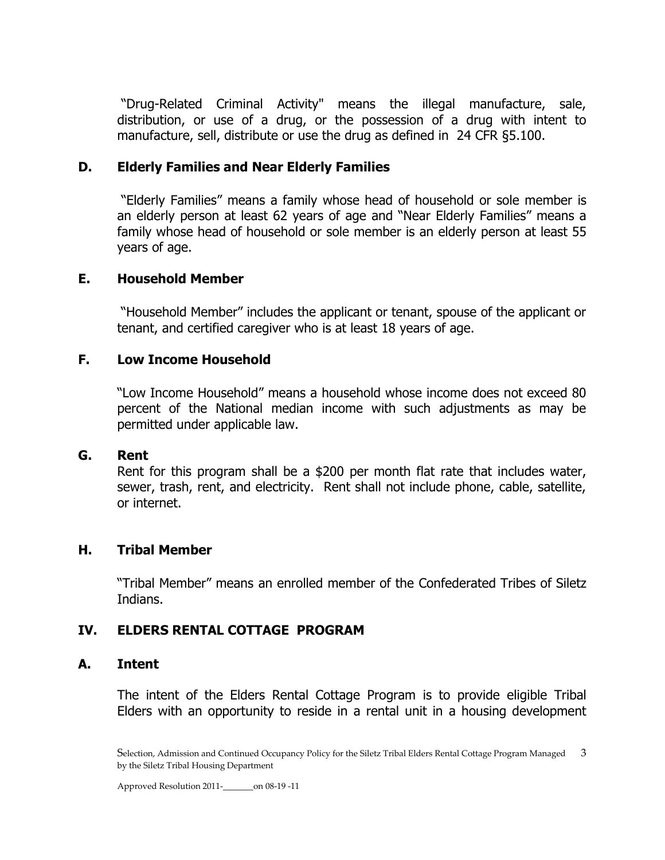"Drug-Related Criminal Activity" means the illegal manufacture, sale, distribution, or use of a drug, or the possession of a drug with intent to manufacture, sell, distribute or use the drug as defined in 24 CFR §5.100.

#### **D. Elderly Families and Near Elderly Families**

"Elderly Families" means a family whose head of household or sole member is an elderly person at least 62 years of age and "Near Elderly Families" means a family whose head of household or sole member is an elderly person at least 55 years of age.

#### **E. Household Member**

"Household Member" includes the applicant or tenant, spouse of the applicant or tenant, and certified caregiver who is at least 18 years of age.

#### **F. Low Income Household**

"Low Income Household" means a household whose income does not exceed 80 percent of the National median income with such adjustments as may be permitted under applicable law.

#### **G. Rent**

Rent for this program shall be a \$200 per month flat rate that includes water, sewer, trash, rent, and electricity. Rent shall not include phone, cable, satellite, or internet.

#### **H. Tribal Member**

"Tribal Member" means an enrolled member of the Confederated Tribes of Siletz Indians.

#### **IV. ELDERS RENTAL COTTAGE PROGRAM**

#### **A. Intent**

The intent of the Elders Rental Cottage Program is to provide eligible Tribal Elders with an opportunity to reside in a rental unit in a housing development

Selection, Admission and Continued Occupancy Policy for the Siletz Tribal Elders Rental Cottage Program Managed 3 by the Siletz Tribal Housing Department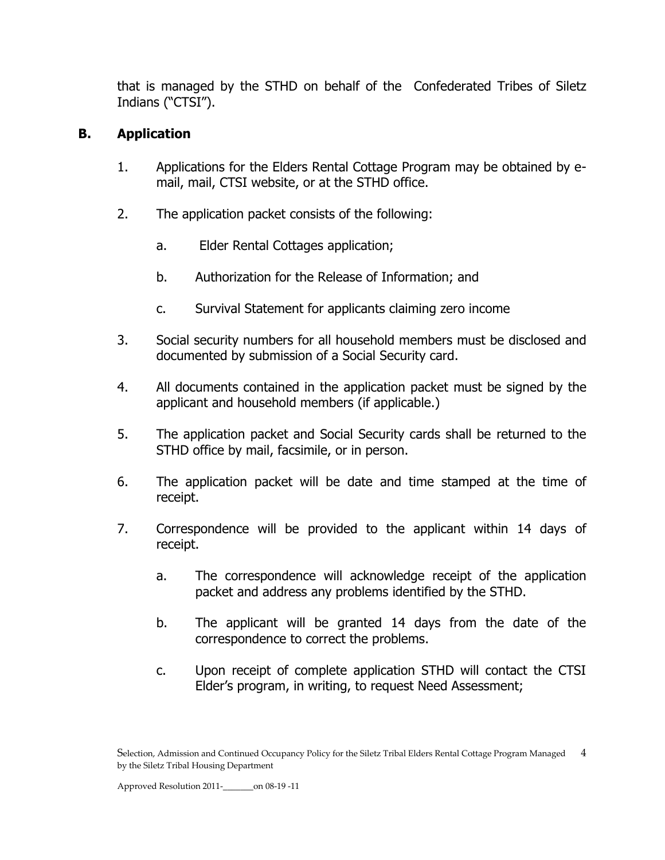that is managed by the STHD on behalf of the Confederated Tribes of Siletz Indians ("CTSI").

# **B. Application**

- 1. Applications for the Elders Rental Cottage Program may be obtained by email, mail, CTSI website, or at the STHD office.
- 2. The application packet consists of the following:
	- a. Elder Rental Cottages application;
	- b. Authorization for the Release of Information; and
	- c. Survival Statement for applicants claiming zero income
- 3. Social security numbers for all household members must be disclosed and documented by submission of a Social Security card.
- 4. All documents contained in the application packet must be signed by the applicant and household members (if applicable.)
- 5. The application packet and Social Security cards shall be returned to the STHD office by mail, facsimile, or in person.
- 6. The application packet will be date and time stamped at the time of receipt.
- 7. Correspondence will be provided to the applicant within 14 days of receipt.
	- a. The correspondence will acknowledge receipt of the application packet and address any problems identified by the STHD.
	- b. The applicant will be granted 14 days from the date of the correspondence to correct the problems.
	- c. Upon receipt of complete application STHD will contact the CTSI Elder's program, in writing, to request Need Assessment;

Selection, Admission and Continued Occupancy Policy for the Siletz Tribal Elders Rental Cottage Program Managed 4 by the Siletz Tribal Housing Department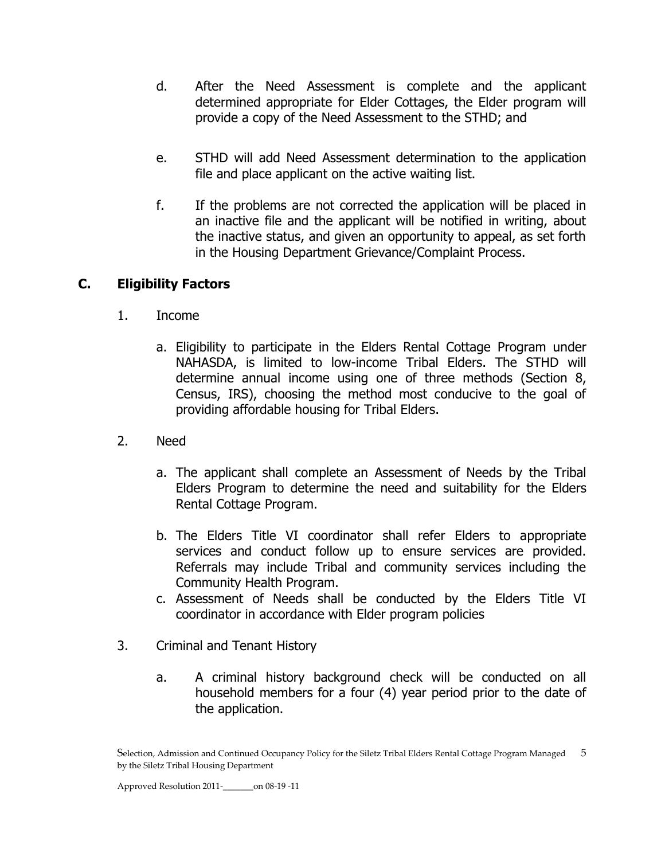- d. After the Need Assessment is complete and the applicant determined appropriate for Elder Cottages, the Elder program will provide a copy of the Need Assessment to the STHD; and
- e. STHD will add Need Assessment determination to the application file and place applicant on the active waiting list.
- f. If the problems are not corrected the application will be placed in an inactive file and the applicant will be notified in writing, about the inactive status, and given an opportunity to appeal, as set forth in the Housing Department Grievance/Complaint Process.

# **C. Eligibility Factors**

- 1. Income
	- a. Eligibility to participate in the Elders Rental Cottage Program under NAHASDA, is limited to low-income Tribal Elders. The STHD will determine annual income using one of three methods (Section 8, Census, IRS), choosing the method most conducive to the goal of providing affordable housing for Tribal Elders.
- 2. Need
	- a. The applicant shall complete an Assessment of Needs by the Tribal Elders Program to determine the need and suitability for the Elders Rental Cottage Program.
	- b. The Elders Title VI coordinator shall refer Elders to appropriate services and conduct follow up to ensure services are provided. Referrals may include Tribal and community services including the Community Health Program.
	- c. Assessment of Needs shall be conducted by the Elders Title VI coordinator in accordance with Elder program policies
- 3. Criminal and Tenant History
	- a. A criminal history background check will be conducted on all household members for a four (4) year period prior to the date of the application.

Selection, Admission and Continued Occupancy Policy for the Siletz Tribal Elders Rental Cottage Program Managed 5 by the Siletz Tribal Housing Department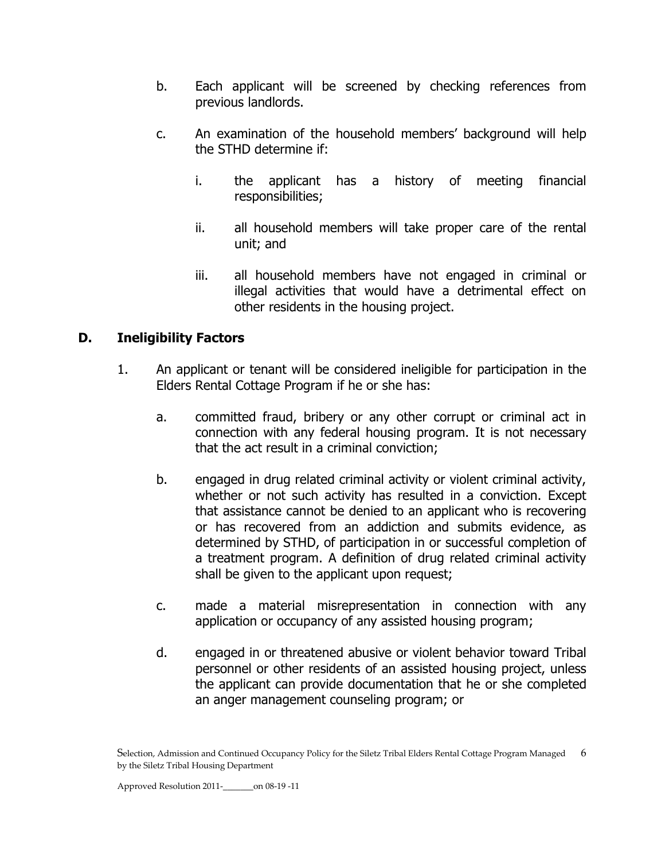- b. Each applicant will be screened by checking references from previous landlords.
- c. An examination of the household members' background will help the STHD determine if:
	- i. the applicant has a history of meeting financial responsibilities;
	- ii. all household members will take proper care of the rental unit; and
	- iii. all household members have not engaged in criminal or illegal activities that would have a detrimental effect on other residents in the housing project.

# **D. Ineligibility Factors**

- 1. An applicant or tenant will be considered ineligible for participation in the Elders Rental Cottage Program if he or she has:
	- a. committed fraud, bribery or any other corrupt or criminal act in connection with any federal housing program. It is not necessary that the act result in a criminal conviction;
	- b. engaged in drug related criminal activity or violent criminal activity, whether or not such activity has resulted in a conviction. Except that assistance cannot be denied to an applicant who is recovering or has recovered from an addiction and submits evidence, as determined by STHD, of participation in or successful completion of a treatment program. A definition of drug related criminal activity shall be given to the applicant upon request;
	- c. made a material misrepresentation in connection with any application or occupancy of any assisted housing program;
	- d. engaged in or threatened abusive or violent behavior toward Tribal personnel or other residents of an assisted housing project, unless the applicant can provide documentation that he or she completed an anger management counseling program; or

Selection, Admission and Continued Occupancy Policy for the Siletz Tribal Elders Rental Cottage Program Managed 6 by the Siletz Tribal Housing Department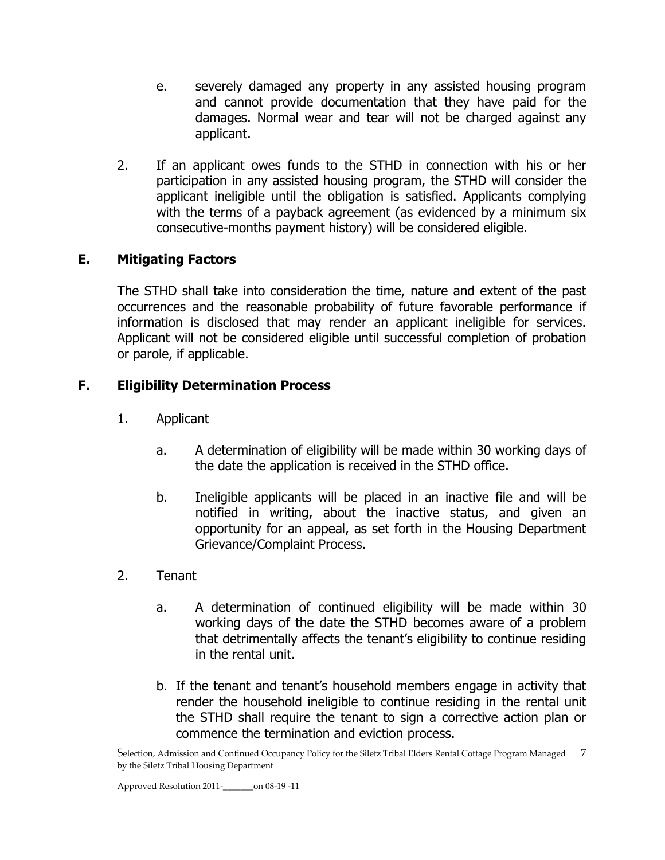- e. severely damaged any property in any assisted housing program and cannot provide documentation that they have paid for the damages. Normal wear and tear will not be charged against any applicant.
- 2. If an applicant owes funds to the STHD in connection with his or her participation in any assisted housing program, the STHD will consider the applicant ineligible until the obligation is satisfied. Applicants complying with the terms of a payback agreement (as evidenced by a minimum six consecutive-months payment history) will be considered eligible.

# **E. Mitigating Factors**

The STHD shall take into consideration the time, nature and extent of the past occurrences and the reasonable probability of future favorable performance if information is disclosed that may render an applicant ineligible for services. Applicant will not be considered eligible until successful completion of probation or parole, if applicable.

# **F. Eligibility Determination Process**

- 1. Applicant
	- a. A determination of eligibility will be made within 30 working days of the date the application is received in the STHD office.
	- b. Ineligible applicants will be placed in an inactive file and will be notified in writing, about the inactive status, and given an opportunity for an appeal, as set forth in the Housing Department Grievance/Complaint Process.
- 2. Tenant
	- a. A determination of continued eligibility will be made within 30 working days of the date the STHD becomes aware of a problem that detrimentally affects the tenant's eligibility to continue residing in the rental unit.
	- b. If the tenant and tenant's household members engage in activity that render the household ineligible to continue residing in the rental unit the STHD shall require the tenant to sign a corrective action plan or commence the termination and eviction process.

Selection, Admission and Continued Occupancy Policy for the Siletz Tribal Elders Rental Cottage Program Managed 7 by the Siletz Tribal Housing Department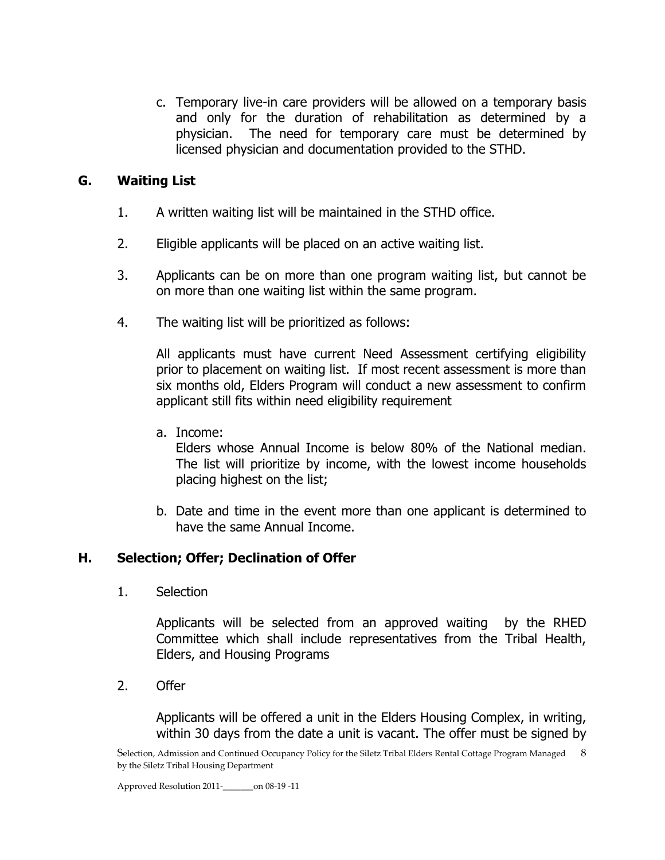c. Temporary live-in care providers will be allowed on a temporary basis and only for the duration of rehabilitation as determined by a physician. The need for temporary care must be determined by licensed physician and documentation provided to the STHD.

### **G. Waiting List**

- 1. A written waiting list will be maintained in the STHD office.
- 2. Eligible applicants will be placed on an active waiting list.
- 3. Applicants can be on more than one program waiting list, but cannot be on more than one waiting list within the same program.
- 4. The waiting list will be prioritized as follows:

All applicants must have current Need Assessment certifying eligibility prior to placement on waiting list. If most recent assessment is more than six months old, Elders Program will conduct a new assessment to confirm applicant still fits within need eligibility requirement

a. Income:

Elders whose Annual Income is below 80% of the National median. The list will prioritize by income, with the lowest income households placing highest on the list;

b. Date and time in the event more than one applicant is determined to have the same Annual Income.

# **H. Selection; Offer; Declination of Offer**

1. Selection

Applicants will be selected from an approved waiting by the RHED Committee which shall include representatives from the Tribal Health, Elders, and Housing Programs

2. Offer

Applicants will be offered a unit in the Elders Housing Complex, in writing, within 30 days from the date a unit is vacant. The offer must be signed by

Selection, Admission and Continued Occupancy Policy for the Siletz Tribal Elders Rental Cottage Program Managed 8 by the Siletz Tribal Housing Department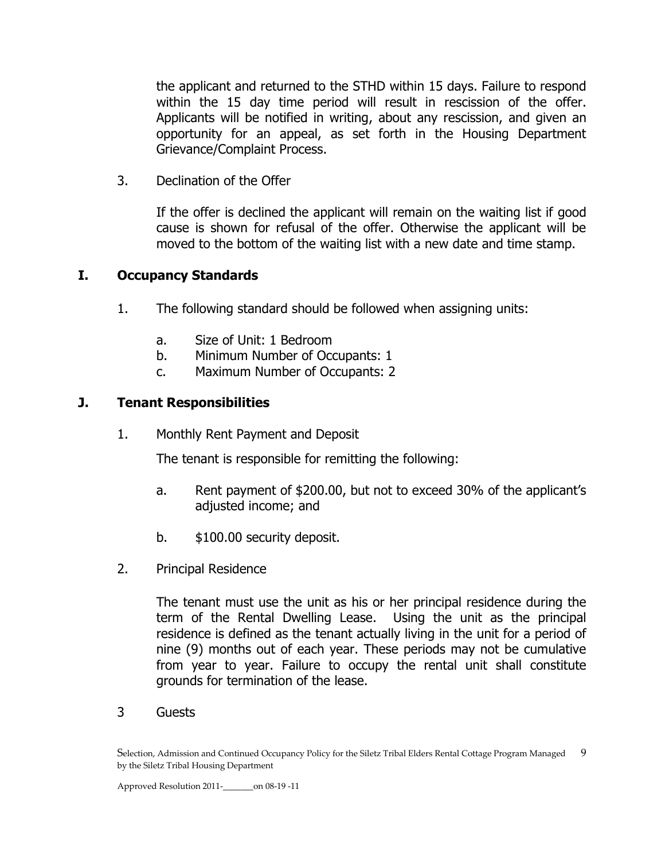the applicant and returned to the STHD within 15 days. Failure to respond within the 15 day time period will result in rescission of the offer. Applicants will be notified in writing, about any rescission, and given an opportunity for an appeal, as set forth in the Housing Department Grievance/Complaint Process.

3. Declination of the Offer

If the offer is declined the applicant will remain on the waiting list if good cause is shown for refusal of the offer. Otherwise the applicant will be moved to the bottom of the waiting list with a new date and time stamp.

#### **I. Occupancy Standards**

- 1. The following standard should be followed when assigning units:
	- a. Size of Unit: 1 Bedroom
	- b. Minimum Number of Occupants: 1
	- c. Maximum Number of Occupants: 2

#### **J. Tenant Responsibilities**

1. Monthly Rent Payment and Deposit

The tenant is responsible for remitting the following:

- a. Rent payment of \$200.00, but not to exceed 30% of the applicant's adjusted income; and
- b. \$100.00 security deposit.
- 2. Principal Residence

The tenant must use the unit as his or her principal residence during the term of the Rental Dwelling Lease. Using the unit as the principal residence is defined as the tenant actually living in the unit for a period of nine (9) months out of each year. These periods may not be cumulative from year to year. Failure to occupy the rental unit shall constitute grounds for termination of the lease.

3 Guests

Selection, Admission and Continued Occupancy Policy for the Siletz Tribal Elders Rental Cottage Program Managed 9 by the Siletz Tribal Housing Department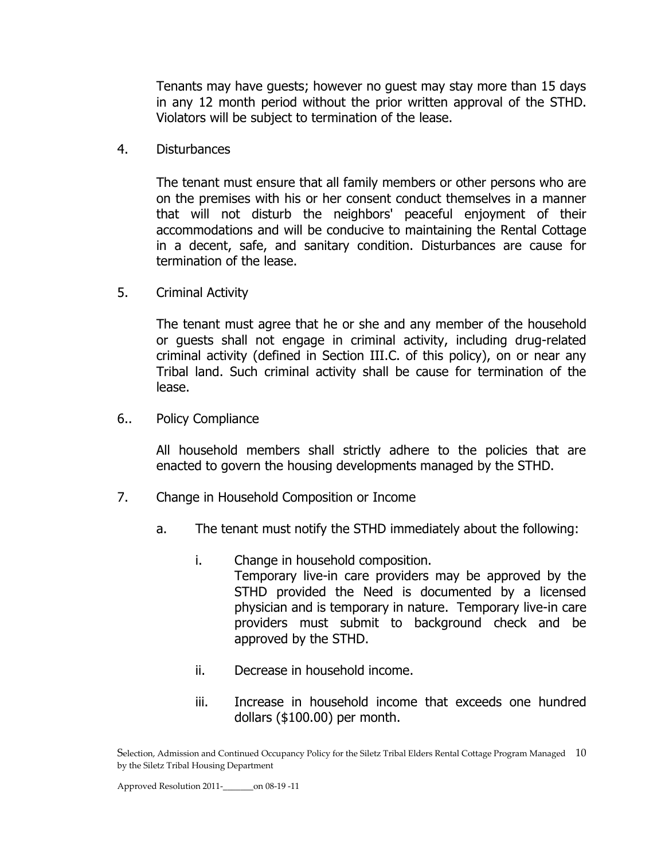Tenants may have guests; however no guest may stay more than 15 days in any 12 month period without the prior written approval of the STHD. Violators will be subject to termination of the lease.

4. Disturbances

The tenant must ensure that all family members or other persons who are on the premises with his or her consent conduct themselves in a manner that will not disturb the neighbors' peaceful enjoyment of their accommodations and will be conducive to maintaining the Rental Cottage in a decent, safe, and sanitary condition. Disturbances are cause for termination of the lease.

5. Criminal Activity

The tenant must agree that he or she and any member of the household or guests shall not engage in criminal activity, including drug-related criminal activity (defined in Section III.C. of this policy), on or near any Tribal land. Such criminal activity shall be cause for termination of the lease.

6.. Policy Compliance

All household members shall strictly adhere to the policies that are enacted to govern the housing developments managed by the STHD.

- 7. Change in Household Composition or Income
	- a. The tenant must notify the STHD immediately about the following:
		- i. Change in household composition. Temporary live-in care providers may be approved by the STHD provided the Need is documented by a licensed physician and is temporary in nature. Temporary live-in care providers must submit to background check and be approved by the STHD.
		- ii. Decrease in household income.
		- iii. Increase in household income that exceeds one hundred dollars (\$100.00) per month.

Selection, Admission and Continued Occupancy Policy for the Siletz Tribal Elders Rental Cottage Program Managed 10 by the Siletz Tribal Housing Department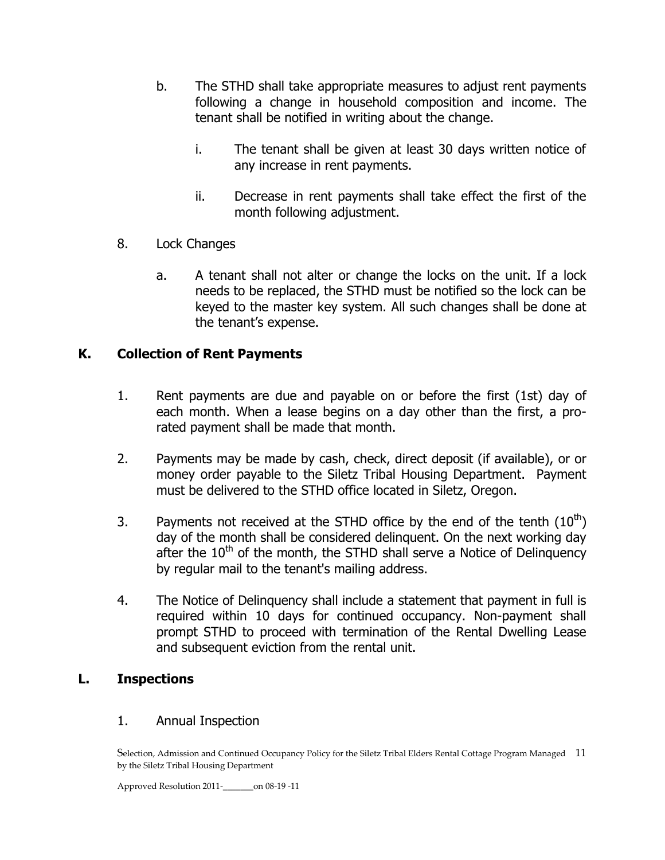- b. The STHD shall take appropriate measures to adjust rent payments following a change in household composition and income. The tenant shall be notified in writing about the change.
	- i. The tenant shall be given at least 30 days written notice of any increase in rent payments.
	- ii. Decrease in rent payments shall take effect the first of the month following adjustment.
- 8. Lock Changes
	- a. A tenant shall not alter or change the locks on the unit. If a lock needs to be replaced, the STHD must be notified so the lock can be keyed to the master key system. All such changes shall be done at the tenant's expense.

# **K. Collection of Rent Payments**

- 1. Rent payments are due and payable on or before the first (1st) day of each month. When a lease begins on a day other than the first, a prorated payment shall be made that month.
- 2. Payments may be made by cash, check, direct deposit (if available), or or money order payable to the Siletz Tribal Housing Department. Payment must be delivered to the STHD office located in Siletz, Oregon.
- 3. Payments not received at the STHD office by the end of the tenth  $(10^{th})$ day of the month shall be considered delinquent. On the next working day after the  $10<sup>th</sup>$  of the month, the STHD shall serve a Notice of Delinguency by regular mail to the tenant's mailing address.
- 4. The Notice of Delinquency shall include a statement that payment in full is required within 10 days for continued occupancy. Non-payment shall prompt STHD to proceed with termination of the Rental Dwelling Lease and subsequent eviction from the rental unit.

# **L. Inspections**

#### 1. Annual Inspection

Selection, Admission and Continued Occupancy Policy for the Siletz Tribal Elders Rental Cottage Program Managed 11 by the Siletz Tribal Housing Department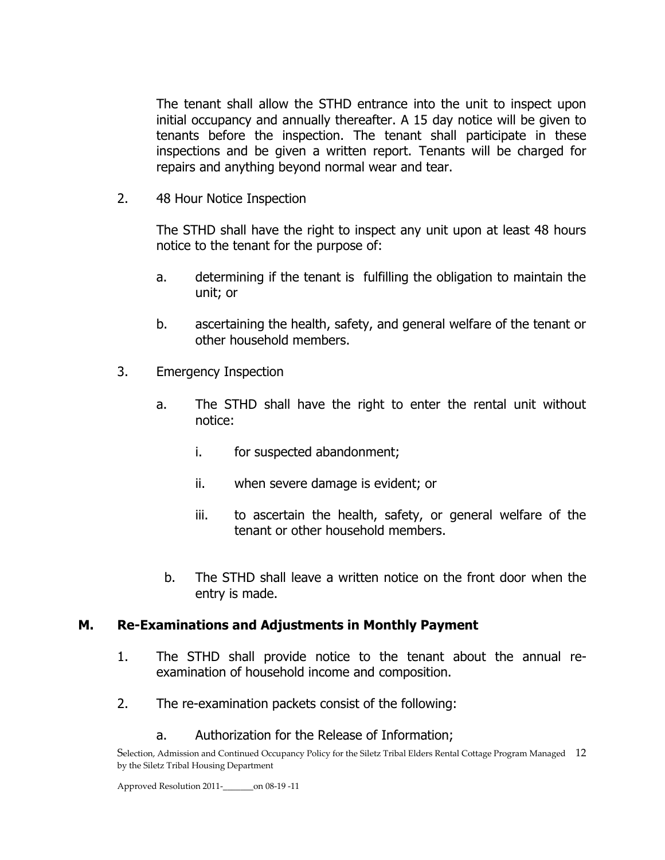The tenant shall allow the STHD entrance into the unit to inspect upon initial occupancy and annually thereafter. A 15 day notice will be given to tenants before the inspection. The tenant shall participate in these inspections and be given a written report. Tenants will be charged for repairs and anything beyond normal wear and tear.

2. 48 Hour Notice Inspection

The STHD shall have the right to inspect any unit upon at least 48 hours notice to the tenant for the purpose of:

- a. determining if the tenant is fulfilling the obligation to maintain the unit; or
- b. ascertaining the health, safety, and general welfare of the tenant or other household members.
- 3. Emergency Inspection
	- a. The STHD shall have the right to enter the rental unit without notice:
		- i. for suspected abandonment;
		- ii. when severe damage is evident; or
		- iii. to ascertain the health, safety, or general welfare of the tenant or other household members.
		- b. The STHD shall leave a written notice on the front door when the entry is made.

#### **M. Re-Examinations and Adjustments in Monthly Payment**

- 1. The STHD shall provide notice to the tenant about the annual reexamination of household income and composition.
- 2. The re-examination packets consist of the following:
	- a. Authorization for the Release of Information;

Selection, Admission and Continued Occupancy Policy for the Siletz Tribal Elders Rental Cottage Program Managed 12 by the Siletz Tribal Housing Department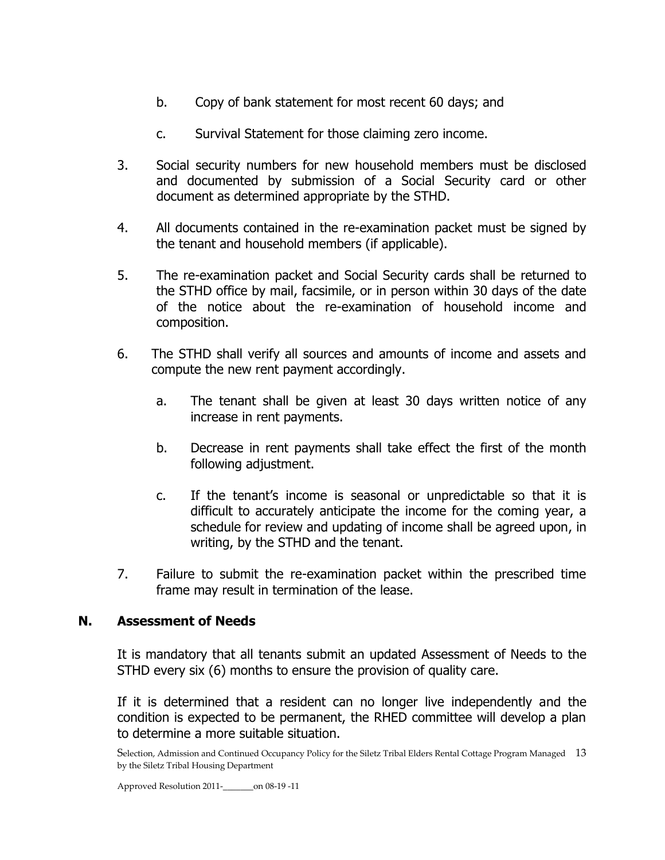- b. Copy of bank statement for most recent 60 days; and
- c. Survival Statement for those claiming zero income.
- 3. Social security numbers for new household members must be disclosed and documented by submission of a Social Security card or other document as determined appropriate by the STHD.
- 4. All documents contained in the re-examination packet must be signed by the tenant and household members (if applicable).
- 5. The re-examination packet and Social Security cards shall be returned to the STHD office by mail, facsimile, or in person within 30 days of the date of the notice about the re-examination of household income and composition.
- 6. The STHD shall verify all sources and amounts of income and assets and compute the new rent payment accordingly.
	- a. The tenant shall be given at least 30 days written notice of any increase in rent payments.
	- b. Decrease in rent payments shall take effect the first of the month following adjustment.
	- c. If the tenant's income is seasonal or unpredictable so that it is difficult to accurately anticipate the income for the coming year, a schedule for review and updating of income shall be agreed upon, in writing, by the STHD and the tenant.
- 7. Failure to submit the re-examination packet within the prescribed time frame may result in termination of the lease.

# **N. Assessment of Needs**

It is mandatory that all tenants submit an updated Assessment of Needs to the STHD every six (6) months to ensure the provision of quality care.

If it is determined that a resident can no longer live independently and the condition is expected to be permanent, the RHED committee will develop a plan to determine a more suitable situation.

Selection, Admission and Continued Occupancy Policy for the Siletz Tribal Elders Rental Cottage Program Managed 13 by the Siletz Tribal Housing Department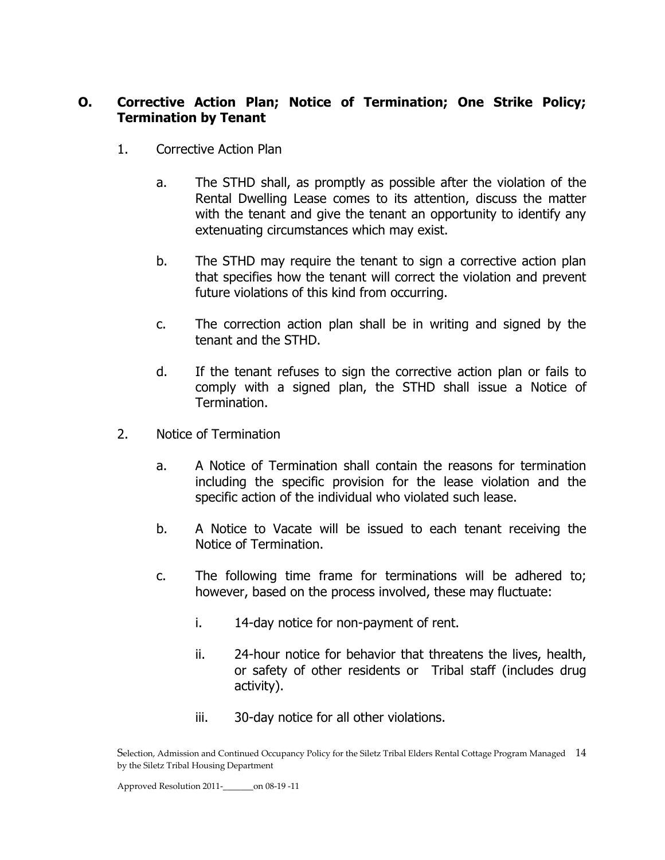### **O. Corrective Action Plan; Notice of Termination; One Strike Policy; Termination by Tenant**

- 1. Corrective Action Plan
	- a. The STHD shall, as promptly as possible after the violation of the Rental Dwelling Lease comes to its attention, discuss the matter with the tenant and give the tenant an opportunity to identify any extenuating circumstances which may exist.
	- b. The STHD may require the tenant to sign a corrective action plan that specifies how the tenant will correct the violation and prevent future violations of this kind from occurring.
	- c. The correction action plan shall be in writing and signed by the tenant and the STHD.
	- d. If the tenant refuses to sign the corrective action plan or fails to comply with a signed plan, the STHD shall issue a Notice of Termination.
- 2. Notice of Termination
	- a. A Notice of Termination shall contain the reasons for termination including the specific provision for the lease violation and the specific action of the individual who violated such lease.
	- b. A Notice to Vacate will be issued to each tenant receiving the Notice of Termination.
	- c. The following time frame for terminations will be adhered to; however, based on the process involved, these may fluctuate:
		- i. 14-day notice for non-payment of rent.
		- ii. 24-hour notice for behavior that threatens the lives, health, or safety of other residents or Tribal staff (includes drug activity).
		- iii. 30-day notice for all other violations.

Selection, Admission and Continued Occupancy Policy for the Siletz Tribal Elders Rental Cottage Program Managed 14 by the Siletz Tribal Housing Department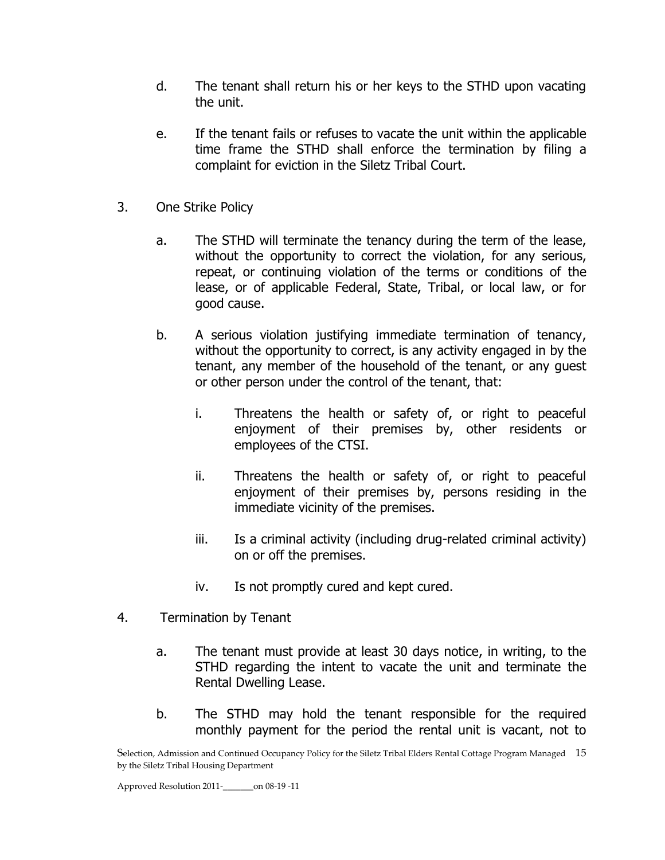- d. The tenant shall return his or her keys to the STHD upon vacating the unit.
- e. If the tenant fails or refuses to vacate the unit within the applicable time frame the STHD shall enforce the termination by filing a complaint for eviction in the Siletz Tribal Court.
- 3. One Strike Policy
	- a. The STHD will terminate the tenancy during the term of the lease, without the opportunity to correct the violation, for any serious, repeat, or continuing violation of the terms or conditions of the lease, or of applicable Federal, State, Tribal, or local law, or for good cause.
	- b. A serious violation justifying immediate termination of tenancy, without the opportunity to correct, is any activity engaged in by the tenant, any member of the household of the tenant, or any guest or other person under the control of the tenant, that:
		- i. Threatens the health or safety of, or right to peaceful enjoyment of their premises by, other residents or employees of the CTSI.
		- ii. Threatens the health or safety of, or right to peaceful enjoyment of their premises by, persons residing in the immediate vicinity of the premises.
		- iii. Is a criminal activity (including drug-related criminal activity) on or off the premises.
		- iv. Is not promptly cured and kept cured.
- 4. Termination by Tenant
	- a. The tenant must provide at least 30 days notice, in writing, to the STHD regarding the intent to vacate the unit and terminate the Rental Dwelling Lease.
	- b. The STHD may hold the tenant responsible for the required monthly payment for the period the rental unit is vacant, not to

Selection, Admission and Continued Occupancy Policy for the Siletz Tribal Elders Rental Cottage Program Managed 15 by the Siletz Tribal Housing Department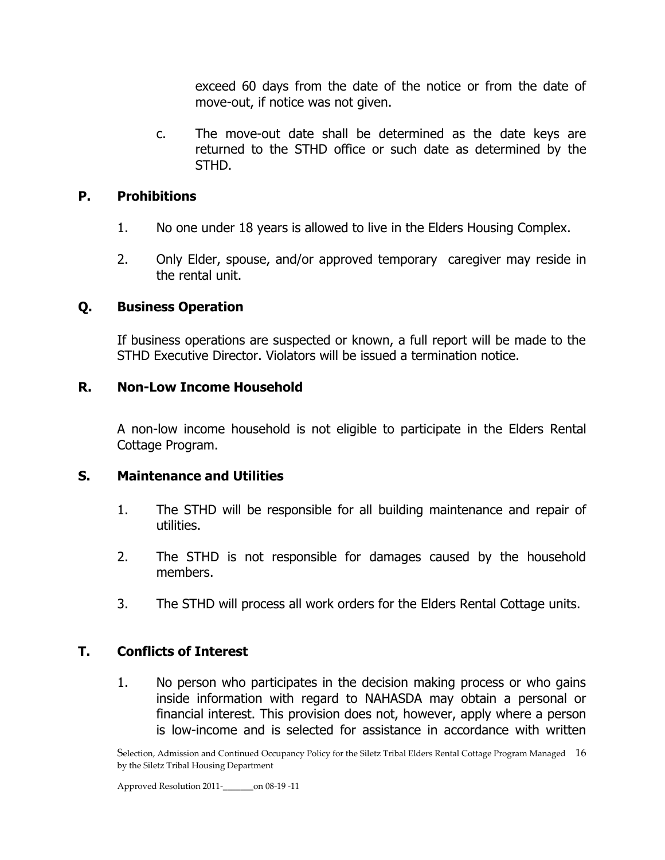exceed 60 days from the date of the notice or from the date of move-out, if notice was not given.

c. The move-out date shall be determined as the date keys are returned to the STHD office or such date as determined by the STHD.

# **P. Prohibitions**

- 1. No one under 18 years is allowed to live in the Elders Housing Complex.
- 2. Only Elder, spouse, and/or approved temporary caregiver may reside in the rental unit.

# **Q. Business Operation**

If business operations are suspected or known, a full report will be made to the STHD Executive Director. Violators will be issued a termination notice.

# **R. Non-Low Income Household**

A non-low income household is not eligible to participate in the Elders Rental Cottage Program.

# **S. Maintenance and Utilities**

- 1. The STHD will be responsible for all building maintenance and repair of utilities.
- 2. The STHD is not responsible for damages caused by the household members.
- 3. The STHD will process all work orders for the Elders Rental Cottage units.

# **T. Conflicts of Interest**

1. No person who participates in the decision making process or who gains inside information with regard to NAHASDA may obtain a personal or financial interest. This provision does not, however, apply where a person is low-income and is selected for assistance in accordance with written

Selection, Admission and Continued Occupancy Policy for the Siletz Tribal Elders Rental Cottage Program Managed 16 by the Siletz Tribal Housing Department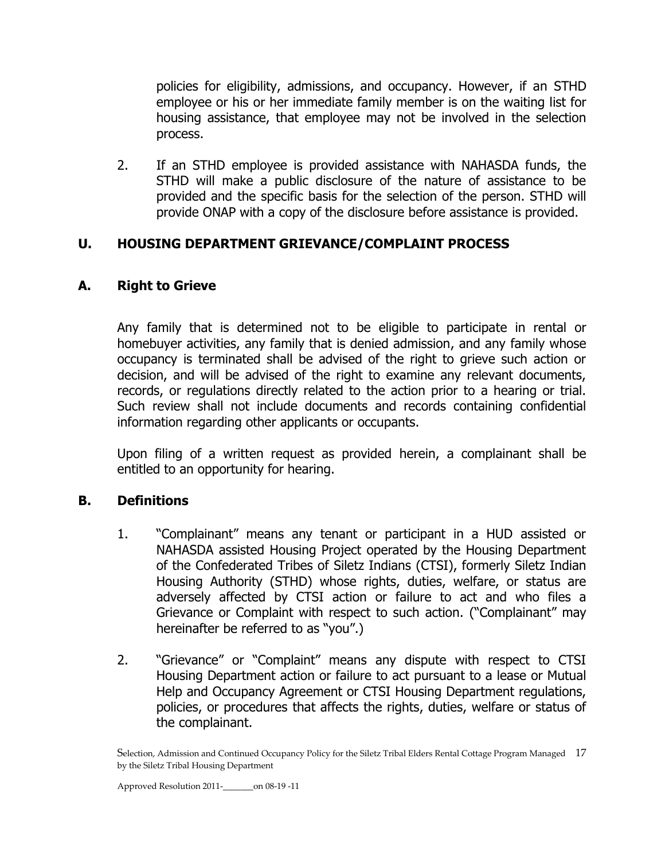policies for eligibility, admissions, and occupancy. However, if an STHD employee or his or her immediate family member is on the waiting list for housing assistance, that employee may not be involved in the selection process.

2. If an STHD employee is provided assistance with NAHASDA funds, the STHD will make a public disclosure of the nature of assistance to be provided and the specific basis for the selection of the person. STHD will provide ONAP with a copy of the disclosure before assistance is provided.

# **U. HOUSING DEPARTMENT GRIEVANCE/COMPLAINT PROCESS**

# **A. Right to Grieve**

Any family that is determined not to be eligible to participate in rental or homebuyer activities, any family that is denied admission, and any family whose occupancy is terminated shall be advised of the right to grieve such action or decision, and will be advised of the right to examine any relevant documents, records, or regulations directly related to the action prior to a hearing or trial. Such review shall not include documents and records containing confidential information regarding other applicants or occupants.

Upon filing of a written request as provided herein, a complainant shall be entitled to an opportunity for hearing.

# **B. Definitions**

- 1. "Complainant" means any tenant or participant in a HUD assisted or NAHASDA assisted Housing Project operated by the Housing Department of the Confederated Tribes of Siletz Indians (CTSI), formerly Siletz Indian Housing Authority (STHD) whose rights, duties, welfare, or status are adversely affected by CTSI action or failure to act and who files a Grievance or Complaint with respect to such action. ("Complainant" may hereinafter be referred to as "you".)
- 2. "Grievance" or "Complaint" means any dispute with respect to CTSI Housing Department action or failure to act pursuant to a lease or Mutual Help and Occupancy Agreement or CTSI Housing Department regulations, policies, or procedures that affects the rights, duties, welfare or status of the complainant.

Selection, Admission and Continued Occupancy Policy for the Siletz Tribal Elders Rental Cottage Program Managed 17 by the Siletz Tribal Housing Department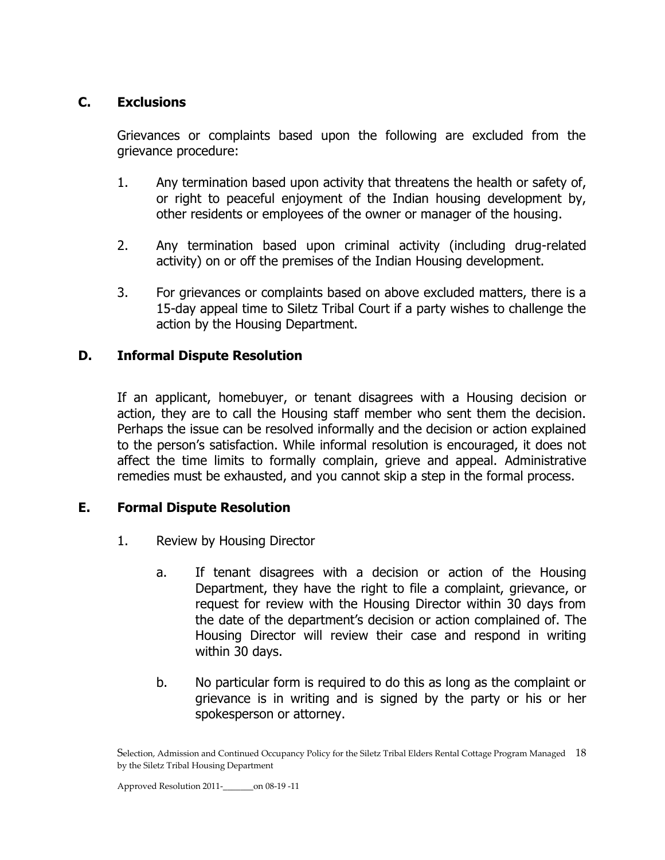# **C. Exclusions**

Grievances or complaints based upon the following are excluded from the grievance procedure:

- 1. Any termination based upon activity that threatens the health or safety of, or right to peaceful enjoyment of the Indian housing development by, other residents or employees of the owner or manager of the housing.
- 2. Any termination based upon criminal activity (including drug-related activity) on or off the premises of the Indian Housing development.
- 3. For grievances or complaints based on above excluded matters, there is a 15-day appeal time to Siletz Tribal Court if a party wishes to challenge the action by the Housing Department.

# **D. Informal Dispute Resolution**

If an applicant, homebuyer, or tenant disagrees with a Housing decision or action, they are to call the Housing staff member who sent them the decision. Perhaps the issue can be resolved informally and the decision or action explained to the person's satisfaction. While informal resolution is encouraged, it does not affect the time limits to formally complain, grieve and appeal. Administrative remedies must be exhausted, and you cannot skip a step in the formal process.

#### **E. Formal Dispute Resolution**

- 1. Review by Housing Director
	- a. If tenant disagrees with a decision or action of the Housing Department, they have the right to file a complaint, grievance, or request for review with the Housing Director within 30 days from the date of the department's decision or action complained of. The Housing Director will review their case and respond in writing within 30 days.
	- b. No particular form is required to do this as long as the complaint or grievance is in writing and is signed by the party or his or her spokesperson or attorney.

Selection, Admission and Continued Occupancy Policy for the Siletz Tribal Elders Rental Cottage Program Managed 18 by the Siletz Tribal Housing Department